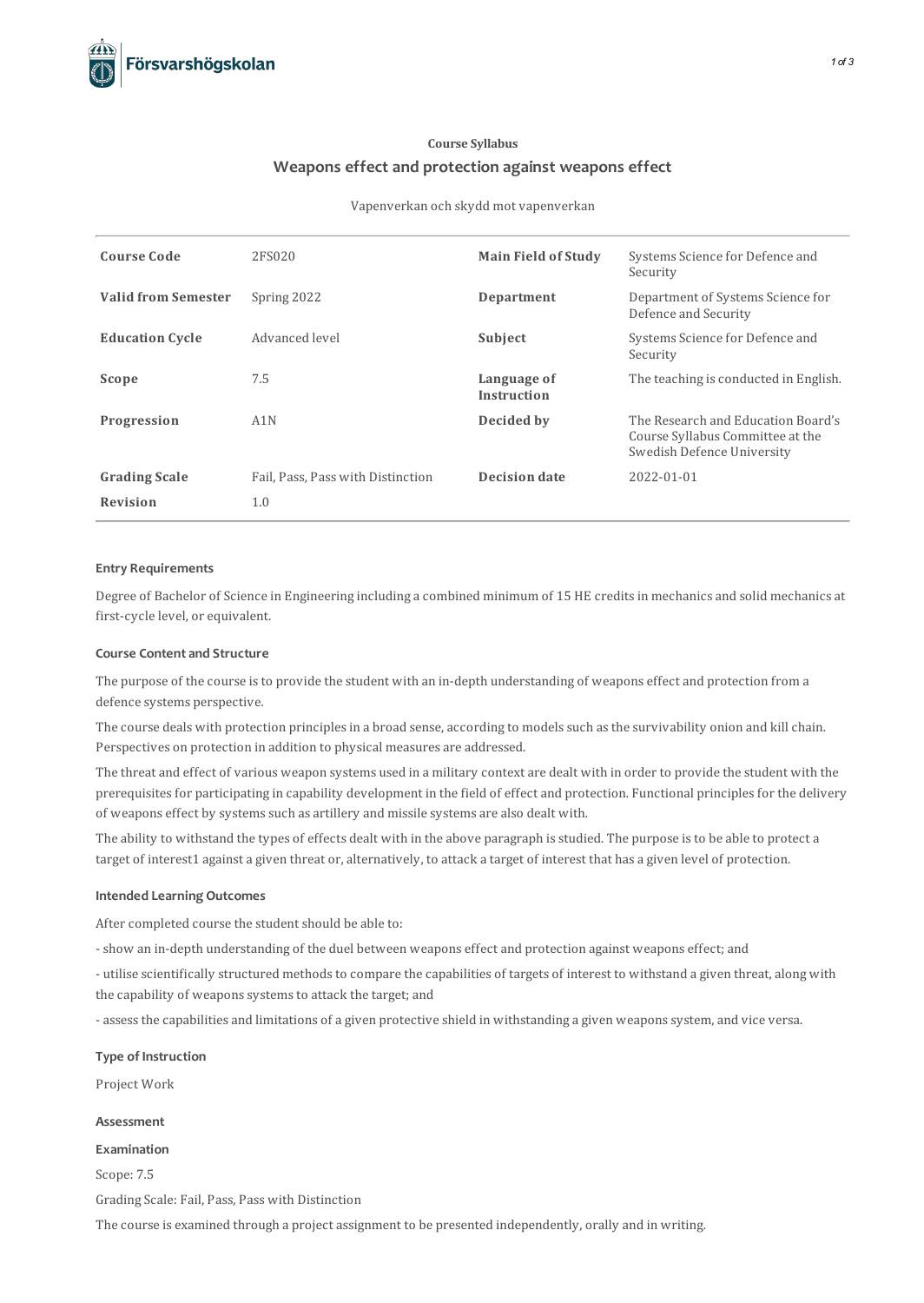# **Course Syllabus Weapons effect and protection against weapons effect**

#### Vapenverkan och skydd mot vapenverkan

| <b>Course Code</b>         | 2FS020                            | <b>Main Field of Study</b>        | Systems Science for Defence and<br>Security                                                          |
|----------------------------|-----------------------------------|-----------------------------------|------------------------------------------------------------------------------------------------------|
| <b>Valid from Semester</b> | Spring 2022                       | Department                        | Department of Systems Science for<br>Defence and Security                                            |
| <b>Education Cycle</b>     | Advanced level                    | Subject                           | Systems Science for Defence and<br>Security                                                          |
| Scope                      | 7.5                               | Language of<br><b>Instruction</b> | The teaching is conducted in English.                                                                |
| Progression                | A1N                               | Decided by                        | The Research and Education Board's<br>Course Syllabus Committee at the<br>Swedish Defence University |
| <b>Grading Scale</b>       | Fail, Pass, Pass with Distinction | <b>Decision date</b>              | 2022-01-01                                                                                           |
| <b>Revision</b>            | 1.0                               |                                   |                                                                                                      |

## **Entry Requirements**

Degree of Bachelor of Science in Engineering including a combined minimum of 15 HE creditsin mechanics and solid mechanics at first-cycle level, or equivalent.

# **Course Contentand Structure**

The purpose of the course isto provide the student with an in-depth understanding of weapons effect and protection from a defence systems perspective.

The course deals with protection principles in a broad sense, according to models such as the survivability onion and kill chain. Perspectives on protection in addition to physical measures are addressed.

The threat and effect of various weapon systems used in a military context are dealt with in order to provide the student with the prerequisites for participating in capability development in the field of effect and protection. Functional principles for the delivery of weapons effect by systems such as artillery and missile systems are also dealt with.

The ability to withstand the types of effects dealt with in the above paragraph isstudied. The purpose isto be able to protect a target of interest1 against a given threat or, alternatively, to attack a target of interest that has a given level of protection.

## **Intended Learning Outcomes**

After completed course the student should be able to:

- show an in-depth understanding of the duel between weapons effect and protection against weapons effect; and

- utilise scientifically structured methods to compare the capabilities of targets of interest to withstand a given threat, along with the capability of weapons systems to attack the target; and

- assessthe capabilities and limitations of a given protective shield in withstanding a given weaponssystem, and vice versa.

# **Type of Instruction**

Project Work

# **Assessment**

**Examination**

Scope: 7.5

Grading Scale: Fail, Pass, Pass with Distinction

The course is examined through a project assignment to be presented independently, orally and in writing.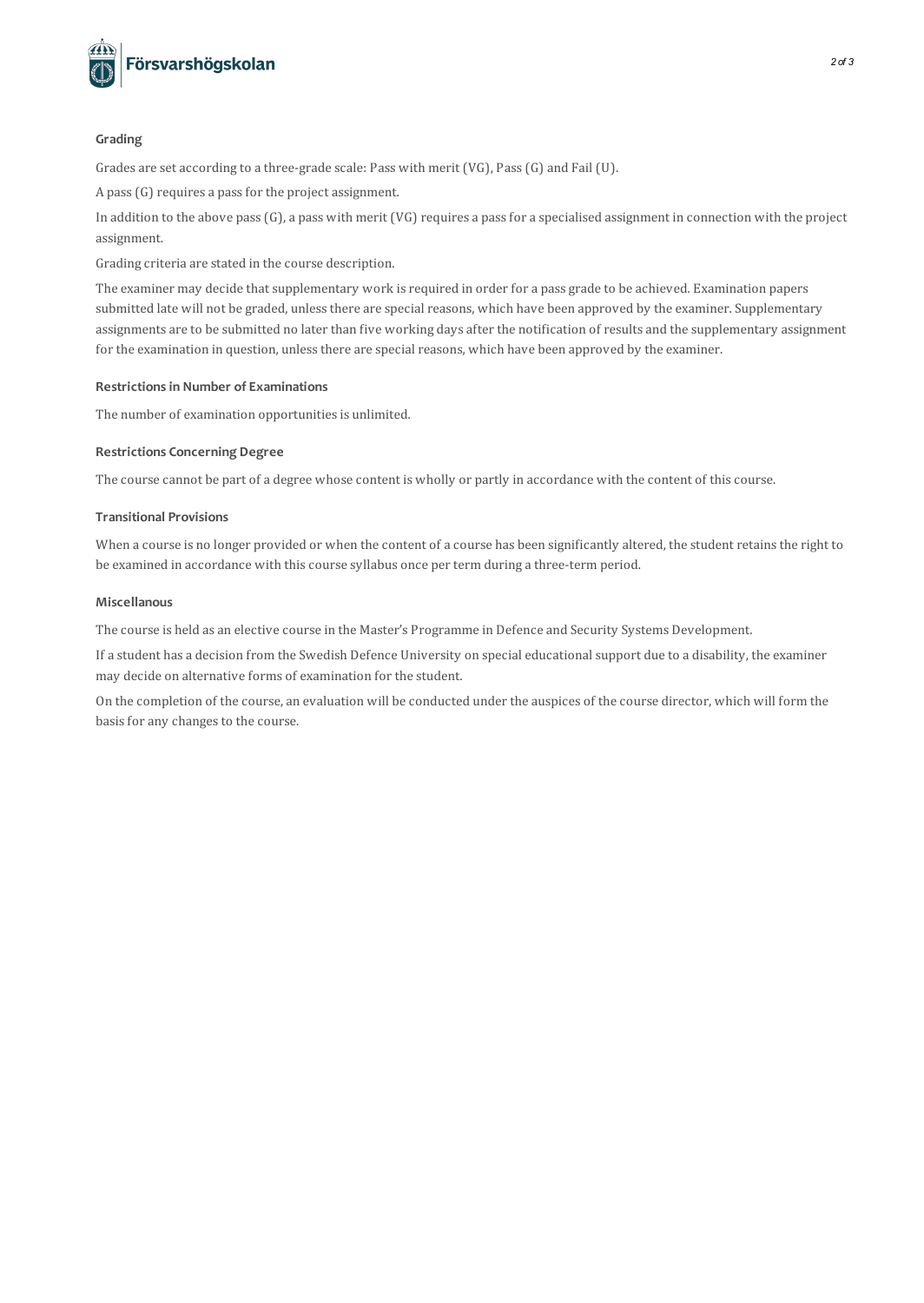

# **Grading**

Grades are set according to a three-grade scale: Pass with merit (VG), Pass(G) and Fail (U).

A pass(G) requires a passfor the project assignment.

In addition to the above pass(G), a pass with merit (VG) requires a passfor a specialised assignment in connection with the project assignment.

Grading criteria are stated in the course description.

The examiner may decide that supplementary work is required in order for a pass grade to be achieved. Examination papers submitted late will not be graded, unless there are special reasons, which have been approved by the examiner. Supplementary assignments are to be submitted no later than five working days after the notification of results and the supplementary assignment for the examination in question, unless there are special reasons, which have been approved by the examiner.

## **Restrictionsin Number of Examinations**

The number of examination opportunities is unlimited.

# **Restrictions Concerning Degree**

The course cannot be part of a degree whose content is wholly or partly in accordance with the content of thiscourse.

# **Transitional Provisions**

When a course is no longer provided or when the content of a course has been significantly altered, the student retains the right to be examined in accordance with thiscourse syllabus once per term during a three-term period.

## **Miscellanous**

The course is held as an elective course in the Master's Programme in Defence and Security Systems Development.

If a student has a decision from the Swedish Defence University on special educationalsupport due to a disability, the examiner may decide on alternative forms of examination for the student.

On the completion of the course, an evaluation will be conducted under the auspices of the course director, which will form the basis for any changes to the course.